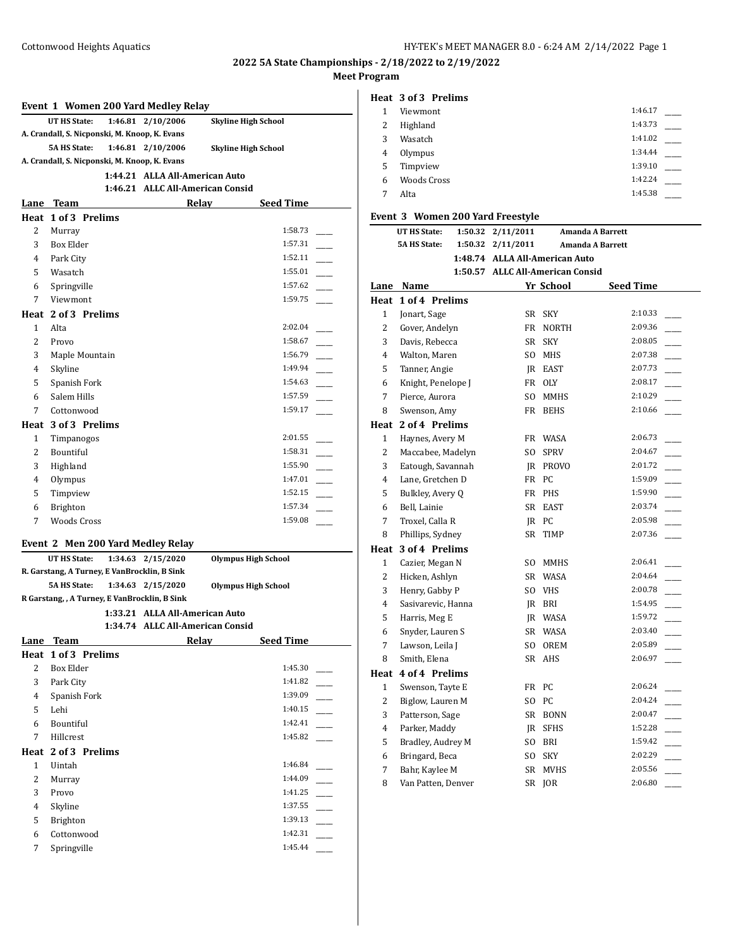**Heat 2 of 3 Prelims**

#### **2022 5A State Championships - 2/18/2022 to 2/19/2022**

#### **Meet Program**

# **Event 1 Women 200 Yard Medley Relay**

|      |                                               | Event 1 Women 200 Yard Medley Relay |                            |                  |  |
|------|-----------------------------------------------|-------------------------------------|----------------------------|------------------|--|
|      | UT HS State:                                  | 1:46.81 2/10/2006                   | <b>Skyline High School</b> |                  |  |
|      | A. Crandall, S. Nicponski, M. Knoop, K. Evans |                                     |                            |                  |  |
|      | <b>5A HS State:</b>                           | 1:46.81 2/10/2006                   | <b>Skyline High School</b> |                  |  |
|      | A. Crandall, S. Nicponski, M. Knoop, K. Evans |                                     |                            |                  |  |
|      |                                               | 1:44.21 ALLA All-American Auto      |                            |                  |  |
|      |                                               | 1:46.21 ALLC All-American Consid    |                            |                  |  |
| Lane | Team                                          | Relay                               |                            | <b>Seed Time</b> |  |
|      | Heat 1 of 3 Prelims                           |                                     |                            |                  |  |
| 2    | Murray                                        |                                     |                            | 1:58.73          |  |
| 3    | Box Elder                                     |                                     |                            | 1:57.31          |  |
| 4    | Park City                                     |                                     |                            | 1:52.11          |  |
| 5    | Wasatch                                       |                                     |                            | 1:55.01          |  |
| 6    | Springville                                   |                                     |                            | 1:57.62          |  |
| 7    | Viewmont                                      |                                     |                            | 1:59.75          |  |

1 Alta 2:02.04 \_\_\_\_\_

## 2 Provo 1:58.67 \_\_\_\_\_ 3 Maple Mountain 1:56.79 4 Skyline 1:49.94 5 Spanish Fork 1:54.63 6 Salem Hills 1:57.59 7 Cottonwood 1:59.17 **Heat 3 of 3 Prelims** 1 Timpanogos 2:01.55 2 Bountiful 1:58.31 3 Highland 1:55.90 4 Olympus 1:47.01 \_\_\_\_\_

# **Event 2 Men 200 Yard Medley Relay UT HS State: 1:34.63 2/15/2020 Olympus High School R. Garstang, A Turney, E VanBrocklin, B Sink 5A HS State: 1:34.63 2/15/2020 Olympus High School R Garstang, , A Turney, E VanBrocklin, B Sink 1:33.21 ALLA All-American Auto 1:34.74 ALLC All-American Consid Lane Team Relay Seed Time Heat 1 of 3 Prelims** 2 Box Elder 1:45.30 3 Park City 1:41.82 4 Spanish Fork 1:39.09 5 Lehi 1:40.15 \_\_\_\_\_ 6 Bountiful 1:42.41 \_\_\_\_\_ 7 Hillcrest 1:45.82 \_\_\_\_\_ **Heat 2 of 3 Prelims** 1 Uintah 1:46.84 \_\_\_\_\_

5 Timpview 1:52.15 \_\_\_\_\_ 6 Brighton 1:57.34 \_\_\_\_\_ 7 Woods Cross 1:59.08 \_\_\_\_\_

| Murray      | 1:44.09 |  |
|-------------|---------|--|
| Provo       | 1:41.25 |  |
| Skyline     | 1:37.55 |  |
| Brighton    | 1:39.13 |  |
| Cottonwood  | 1:42.31 |  |
| Springville | 1:45.44 |  |
|             |         |  |

#### **Heat 3 of 3 Prelims**

|   | Viewmont           | 1:46.17 |
|---|--------------------|---------|
| 2 | Highland           | 1:43.73 |
| 3 | Wasatch            | 1:41.02 |
| 4 | Olympus            | 1:34.44 |
| 5 | Timpview           | 1:39.10 |
| 6 | <b>Woods Cross</b> | 1:42.24 |
|   | Alta               | 1:45.38 |

## **Event 3 Women 200 Yard Freestyle**

|                | Event 5 - Women zou faiu Fieestyle |                   |                                  |                  |
|----------------|------------------------------------|-------------------|----------------------------------|------------------|
|                | UT HS State:                       | 1:50.32 2/11/2011 | <b>Amanda A Barrett</b>          |                  |
|                | <b>5A HS State:</b><br>1:50.32     | 2/11/2011         | <b>Amanda A Barrett</b>          |                  |
|                |                                    |                   | 1:48.74 ALLA All-American Auto   |                  |
|                |                                    |                   | 1:50.57 ALLC All-American Consid |                  |
| Lane           | Name                               |                   | Yr School                        | <b>Seed Time</b> |
| Heat           | 1 of 4 Prelims                     |                   |                                  |                  |
| $\mathbf{1}$   | Jonart, Sage                       | SR -              | <b>SKY</b>                       | 2:10.33          |
| 2              | Gover, Andelyn                     |                   | FR NORTH                         | 2:09.36          |
| 3              | Davis, Rebecca                     | SR                | <b>SKY</b>                       | 2:08.05          |
| $\overline{4}$ | Walton, Maren                      |                   | SO MHS                           | 2:07.38          |
| 5              | Tanner, Angie                      |                   | JR EAST                          | 2:07.73          |
| 6              | Knight, Penelope J                 |                   | FR OLY                           | 2:08.17          |
| 7              | Pierce, Aurora                     | SO.               | <b>MMHS</b>                      | 2:10.29          |
| 8              | Swenson, Amy                       | FR                | <b>BEHS</b>                      | 2:10.66          |
| Heat           | 2 of 4 Prelims                     |                   |                                  |                  |
| $\mathbf{1}$   | Haynes, Avery M                    |                   | FR WASA                          | 2:06.73          |
| 2              | Maccabee, Madelyn                  |                   | SO SPRV                          | 2:04.67          |
| 3              | Eatough, Savannah                  |                   | JR PROVO                         | 2:01.72          |
| 4              | Lane, Gretchen D                   |                   | FR PC                            | 1:59.09          |
| 5              | Bulkley, Avery Q                   |                   | FR PHS                           | 1:59.90          |
| 6              | Bell, Lainie                       |                   | SR EAST                          | 2:03.74          |
| 7              | Troxel, Calla R                    |                   | JR PC                            | 2:05.98          |
| 8              | Phillips, Sydney                   | SR                | TIMP                             | 2:07.36          |
| Heat           | 3 of 4 Prelims                     |                   |                                  |                  |
| 1              | Cazier, Megan N                    |                   | SO MMHS                          | 2:06.41          |
| $\overline{2}$ | Hicken, Ashlyn                     |                   | SR WASA                          | 2:04.64          |
| 3              | Henry, Gabby P                     |                   | SO VHS                           | 2:00.78          |
| $\overline{4}$ | Sasivarevic, Hanna                 |                   | JR BRI                           | 1:54.95          |
| 5              | Harris, Meg E                      |                   | JR WASA                          | 1:59.72          |
| 6              | Snyder, Lauren S                   |                   | SR WASA                          | 2:03.40          |
| 7              | Lawson, Leila J                    |                   | SO OREM                          | 2:05.89          |
| 8              | Smith, Elena                       |                   | SR AHS                           | 2:06.97          |
|                | Heat 4 of 4 Prelims                |                   |                                  |                  |
| $\mathbf{1}$   | Swenson, Tayte E                   |                   | FR PC                            | 2:06.24          |
| 2              | Biglow, Lauren M                   |                   | SO PC                            | 2:04.24          |
| 3              | Patterson, Sage                    |                   | SR BONN                          | 2:00.47          |
| $\overline{4}$ | Parker, Maddy                      |                   | IR SFHS                          | 1:52.28          |
| 5              | Bradley, Audrey M                  |                   | SO BRI                           | 1:59.42          |
| 6              | Bringard, Beca                     | SO.               | <b>SKY</b>                       | 2:02.29          |
| 7              | Bahr, Kaylee M                     | <b>SR</b>         | <b>MVHS</b>                      | 2:05.56          |
| 8              | Van Patten, Denver                 | SR                | <b>JOR</b>                       | 2:06.80          |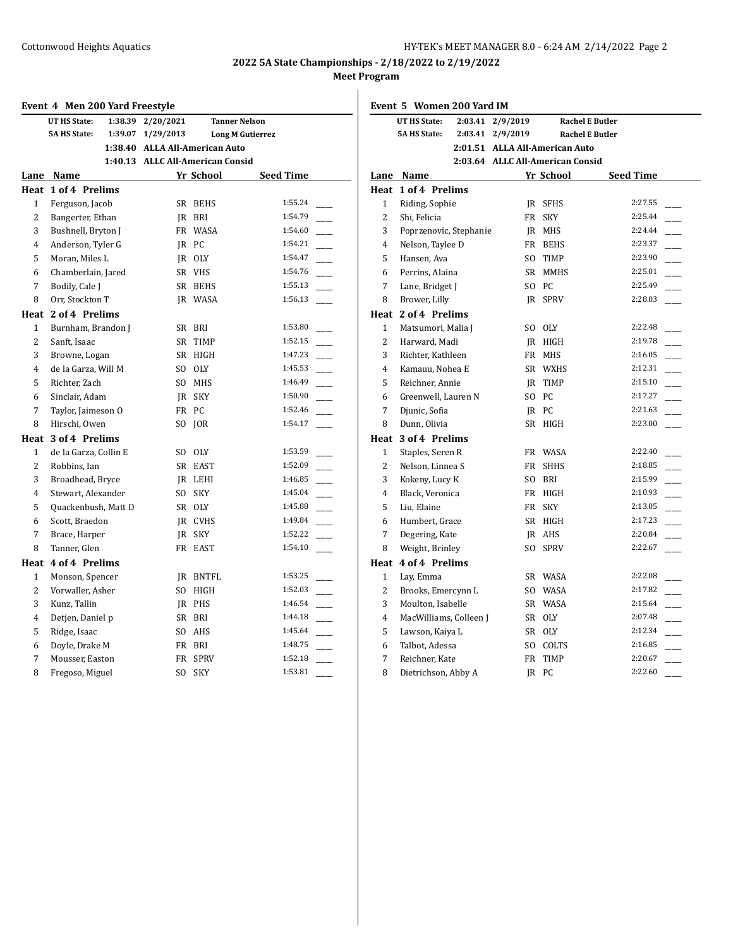# **Event 4 Men 200 Yard Freestyle UT HS State: 1:38.39 2/20/2021 Tanner Nelson 5A HS State: 1:39.07 1/29/2013 Long M Gutierrez 1:38.40 ALLA All-American Auto 1:40.13 ALLC All-American Consid Lane Name Yr School Seed Time Heat 1 of 4 Prelims** 1 Ferguson, Jacob SR BEHS 1:55.24 2 Bangerter, Ethan JR BRI 1:54.79 3 Bushnell, Bryton J FR WASA 1:54.60 4 Anderson, Tyler G JR PC 1:54.21 5 Moran, Miles L JR OLY 1:54.47 6 Chamberlain, Jared SR VHS 1:54.76 7 Bodily, Cale J SR BEHS 1:55.13 8 Orr, Stockton T JR WASA 1:56.13 **Heat 2 of 4 Prelims** 1 Burnham, Brandon J SR BRI 1:53.80 2 Sanft, Isaac SR TIMP 1:52.15 3 Browne, Logan SR HIGH 1:47.23 4 de la Garza, Will M SO OLY 1:45.53 5 Richter, Zach SO MHS 1:46.49 6 Sinclair, Adam JR SKY 1:50.90 7 Taylor, Jaimeson O FR PC 1:52.46 8 Hirschi, Owen SO JOR 1:54.17 **Heat 3 of 4 Prelims** 1 de la Garza, Collin E SO OLY 1:53.59 2 Robbins, Ian SR EAST 1:52.09 3 Broadhead, Bryce JR LEHI 1:46.85 4 Stewart, Alexander SO SKY 1:45.04 5 Quackenbush, Matt D SR OLY 1:45.88 6 Scott, Braedon JR CVHS 1:49.84 7 Brace, Harper JR SKY 1:52.22 8 Tanner, Glen FR EAST 1:54.10 **Heat 4 of 4 Prelims** 1 Monson, Spencer JR BNTFL 1:53.25 2 Vorwaller, Asher SO HIGH 1:52.03 3 Kunz, Tallin JR PHS 1:46.54 4 Detjen, Daniel p SR BRI 1:44.18 5 Ridge, Isaac SO AHS 1:45.64 6 Doyle, Drake M FR BRI 1:48.75 7 Mousser, Easton FR SPRV 1:52.18 8 Fregoso, Miguel SO SKY 1:53.81

|                | Event 5 Women 200 Yard IM      |                                  |           |                        |        |
|----------------|--------------------------------|----------------------------------|-----------|------------------------|--------|
|                | <b>UT HS State:</b><br>2:03.41 | 2/9/2019                         |           | <b>Rachel E Butler</b> |        |
|                | <b>5A HS State:</b><br>2:03.41 | 2/9/2019                         |           | <b>Rachel E Butler</b> |        |
|                |                                | 2:01.51 ALLA All-American Auto   |           |                        |        |
|                |                                | 2:03.64 ALLC All-American Consid |           |                        |        |
|                | Lane Name                      |                                  | Yr School | <b>Seed Time</b>       |        |
|                | Heat 1 of 4 Prelims            |                                  |           |                        |        |
| $\mathbf{1}$   | Riding, Sophie                 |                                  | IR SFHS   | 2:27.55                |        |
| $\overline{2}$ | Shi, Felicia                   |                                  | FR SKY    | 2:25.44                |        |
| 3              | Poprzenovic, Stephanie         |                                  | IR MHS    | 2:24.44                |        |
| 4              | Nelson, Taylee D               |                                  | FR BEHS   | 2:23.37                |        |
| 5              | Hansen. Ava                    |                                  | SO TIMP   | 2:23.90                |        |
| 6              | Perrins, Alaina                |                                  | SR MMHS   | 2:25.01                |        |
| 7              | Lane, Bridget J                |                                  | SO PC     | 2:25.49                |        |
| 8              | Brower, Lilly                  |                                  | JR SPRV   | 2:28.03                |        |
|                | Heat 2 of 4 Prelims            |                                  |           |                        |        |
| $\mathbf{1}$   | Matsumori, Malia J             |                                  | SO OLY    | 2:22.48                |        |
| $\overline{2}$ | Harward, Madi                  |                                  | IR HIGH   | 2:19.78                |        |
| 3              | Richter, Kathleen              |                                  | FR MHS    | 2:16.05                | $\sim$ |
| 4              | Kamauu, Nohea E                |                                  | SR WXHS   | 2:12.31                |        |
| 5              | Reichner, Annie                |                                  | JR TIMP   | 2:15.10                |        |
| 6              | Greenwell, Lauren N            |                                  | SO PC     | 2:17.27                |        |
| 7              | Djunic, Sofia                  |                                  | JR PC     | 2:21.63                |        |
| 8              | Dunn, Olivia                   |                                  | SR HIGH   | 2:23.00                |        |
|                | Heat 3 of 4 Prelims            |                                  |           |                        |        |
| $\mathbf{1}$   | Staples, Seren R               |                                  | FR WASA   | 2:22.40                |        |
| 2              | Nelson, Linnea S               |                                  | FR SHHS   | 2:18.85                |        |
| 3              | Kokeny, Lucy K                 |                                  | SO BRI    | 2:15.99                |        |
| $\overline{4}$ | Black, Veronica                |                                  | FR HIGH   | 2:10.93                |        |
| 5              | Liu, Elaine                    |                                  | FR SKY    | 2:13.05                |        |
| 6              | Humbert, Grace                 |                                  | SR HIGH   | 2:17.23                |        |
| 7              | Degering, Kate                 |                                  | IR AHS    | 2:20.84                |        |
| 8              | Weight, Brinley                |                                  | SO SPRV   | 2:22.67                |        |
|                | Heat 4 of 4 Prelims            |                                  |           |                        |        |
| 1              | Lay, Emma                      |                                  | SR WASA   | 2:22.08                |        |
| $\overline{2}$ | Brooks, Emercynn L             |                                  | SO WASA   | 2:17.82                |        |
| 3              | Moulton, Isabelle              |                                  | SR WASA   | 2:15.64                |        |
| 4              | MacWilliams, Colleen J         |                                  | SR OLY    | 2:07.48                |        |
| 5              | Lawson, Kaiya L                |                                  | SR OLY    | 2:12.34                |        |
| 6              | Talbot, Adessa                 |                                  | SO COLTS  | 2:16.85                |        |
| 7              | Reichner, Kate                 |                                  | FR TIMP   | 2:20.67                |        |
| 8              | Dietrichson, Abby A            |                                  | JR PC     | 2:22.60                |        |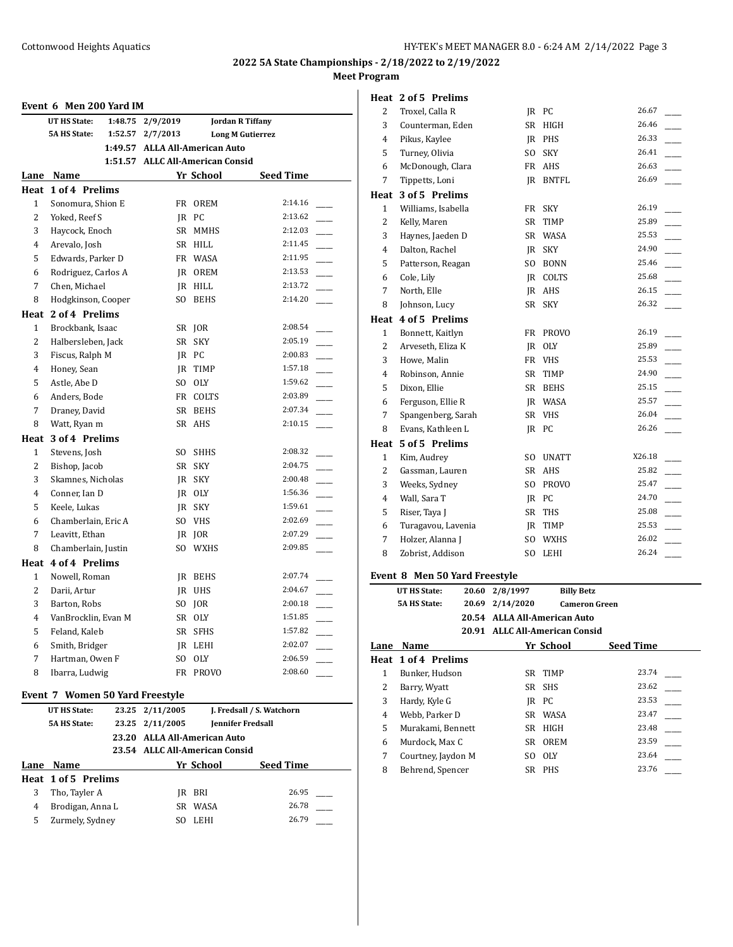**Meet Program**

|                | Event 6 Men 200 Yard IM         |                                  |             |                           |
|----------------|---------------------------------|----------------------------------|-------------|---------------------------|
|                | UT HS State:                    | 1:48.75 2/9/2019                 |             | <b>Jordan R Tiffany</b>   |
|                | <b>5A HS State:</b>             | 1:52.57 2/7/2013                 |             | <b>Long M Gutierrez</b>   |
|                |                                 | 1:49.57 ALLA All-American Auto   |             |                           |
|                |                                 | 1:51.57 ALLC All-American Consid |             |                           |
|                | Lane Name                       |                                  | Yr School   | <b>Seed Time</b>          |
|                | Heat 1 of 4 Prelims             |                                  |             |                           |
| $\mathbf{1}$   | Sonomura, Shion E               |                                  | FR OREM     | 2:14.16                   |
| 2              | Yoked, Reef S                   |                                  | IR PC       |                           |
| 3              | Haycock, Enoch                  | SR                               | MMHS        | 2:12.03                   |
| 4              | Arevalo, Josh                   |                                  | SR HILL     | 2:11.45                   |
| 5              | Edwards, Parker D               |                                  | FR WASA     | 2:11.95                   |
| 6              | Rodriguez, Carlos A             |                                  | IR OREM     | 2:13.53                   |
| 7              | Chen, Michael                   |                                  | JR HILL     | 2:13.72                   |
| 8              | Hodgkinson, Cooper              |                                  | SO BEHS     | 2:14.20                   |
|                | Heat 2 of 4 Prelims             |                                  |             |                           |
| 1              | Brockbank, Isaac                |                                  | SR JOR      | 2:08.54                   |
| $\overline{2}$ | Halbersleben, Jack              |                                  | SR SKY      | 2:05.19                   |
| 3              | Fiscus, Ralph M                 |                                  | IR PC       | 2:00.83                   |
| 4              | Honey, Sean                     |                                  | JR TIMP     | 1:57.18                   |
| 5              | Astle, Abe D                    |                                  | SO OLY      | 1:59.62                   |
| 6              | Anders, Bode                    |                                  | FR COLTS    | 2:03.89                   |
| 7              | Draney, David                   |                                  | SR BEHS     | 2:07.34                   |
| 8              | Watt, Ryan m                    |                                  | SR AHS      | 2:10.15                   |
|                | Heat 3 of 4 Prelims             |                                  |             |                           |
| 1              | Stevens, Josh                   | SO.                              | <b>SHHS</b> | 2:08.32                   |
| $\overline{2}$ | Bishop, Jacob                   |                                  | SR SKY      | 2:04.75                   |
| 3              | Skamnes, Nicholas               |                                  | JR SKY      | 2:00.48                   |
| 4              | Conner, Ian D                   |                                  | JR OLY      | 1:56.36                   |
| 5              | Keele, Lukas                    |                                  | JR SKY      | 1:59.61                   |
| 6              | Chamberlain, Eric A             |                                  | SO VHS      | 2:02.69                   |
| 7              | Leavitt, Ethan                  |                                  | JR JOR      | 2:07.29                   |
| 8              | Chamberlain, Justin             |                                  | SO WXHS     | 2:09.85                   |
|                | Heat 4 of 4 Prelims             |                                  |             |                           |
| $\mathbf{1}$   | Nowell, Roman                   |                                  | JR BEHS     | 2:07.74                   |
| 2              | Darii, Artur                    |                                  | JR UHS      | 2:04.67                   |
| 3              | Barton, Robs                    | SO                               | JOR         | 2:00.18                   |
| 4              | VanBrocklin, Evan M             |                                  | SR OLY      | 1:51.85                   |
| 5              | Feland, Kaleb                   |                                  | SR SFHS     | 1:57.82                   |
| 6              | Smith, Bridger                  |                                  | JR LEHI     | 2:02.07                   |
| 7              | Hartman, Owen F                 |                                  | SO OLY      | 2:06.59                   |
| 8              | Ibarra, Ludwig                  |                                  | FR PROVO    | 2:08.60                   |
|                | Event 7 Women 50 Yard Freestyle |                                  |             |                           |
|                | <b>UT HS State:</b>             | 23.25 2/11/2005                  |             | J. Fredsall / S. Watchorn |
|                | <b>5A HS State:</b>             | 23.25 2/11/2005                  |             | <b>Jennifer Fredsall</b>  |
|                |                                 | 23.20 ALLA All-American Auto     |             |                           |
|                |                                 | 23.54 ALLC All-American Consid   |             |                           |
|                | Lane Name                       |                                  | Yr School   | <b>Seed Time</b>          |
|                | Heat 1 of 5 Prelims             |                                  |             |                           |
| 3              | Tho, Tayler A                   |                                  | JR BRI      | 26.95                     |
|                |                                 |                                  |             |                           |

4 Brodigan, Anna L SR WASA 26.78 5 Zurmely, Sydney SO LEHI 26.79

|                | Heat 2 of 5 Prelims |           |                |        |
|----------------|---------------------|-----------|----------------|--------|
| $\overline{c}$ | Troxel, Calla R     |           | JR PC          | 26.67  |
| 3              | Counterman, Eden    | SR        | <b>HIGH</b>    | 26.46  |
| $\overline{4}$ | Pikus, Kaylee       |           | IR PHS         | 26.33  |
| 5              | Turney, Olivia      | SO.       | <b>SKY</b>     | 26.41  |
| 6              | McDonough, Clara    | FR        | AHS            | 26.63  |
| 7              | Tippetts, Loni      | IR        | <b>BNTFL</b>   | 26.69  |
| Heat           | 3 of 5 Prelims      |           |                |        |
| $\mathbf{1}$   | Williams, Isabella  | FR        | <b>SKY</b>     | 26.19  |
| 2              | Kelly, Maren        | <b>SR</b> | <b>TIMP</b>    | 25.89  |
| 3              | Haynes, Jaeden D    | SR        | WASA           | 25.53  |
| 4              | Dalton, Rachel      | IR        | <b>SKY</b>     | 24.90  |
| 5              | Patterson, Reagan   |           | SO BONN        | 25.46  |
| 6              | Cole, Lily          |           | JR COLTS       | 25.68  |
| 7              | North, Elle         |           | JR AHS         | 26.15  |
| 8              | Johnson, Lucy       | SR        | <b>SKY</b>     | 26.32  |
|                | Heat 4 of 5 Prelims |           |                |        |
| $\mathbf{1}$   | Bonnett, Kaitlyn    | FR        | PROVO          | 26.19  |
| 2              | Arveseth, Eliza K   | IR.       | <b>OLY</b>     | 25.89  |
| 3              | Howe, Malin         |           | FR VHS         | 25.53  |
| 4              | Robinson, Annie     | SR        | TIMP           | 24.90  |
| 5              | Dixon, Ellie        |           | SR BEHS        | 25.15  |
| 6              | Ferguson, Ellie R   |           | <b>IR WASA</b> | 25.57  |
| 7              | Spangenberg, Sarah  | SR        | <b>VHS</b>     | 26.04  |
| 8              | Evans, Kathleen L   |           | JR PC          | 26.26  |
| Heat           | 5 of 5 Prelims      |           |                |        |
| $\mathbf{1}$   | Kim, Audrey         |           | SO UNATT       | X26.18 |
| $\overline{2}$ | Gassman, Lauren     | SR        | AHS            | 25.82  |
| 3              | Weeks, Sydney       | SO.       | <b>PROVO</b>   | 25.47  |
| 4              | Wall, Sara T        |           | IR PC          | 24.70  |
| 5              | Riser, Taya J       | SR        | <b>THS</b>     | 25.08  |
| 6              | Turagavou, Lavenia  | IR        | TIMP           | 25.53  |
| 7              | Holzer, Alanna J    |           | SO WXHS        | 26.02  |
| 8              | Zobrist, Addison    | SO.       | LEHI           | 26.24  |

## **Event 8 Men 50 Yard Freestyle**

| 2008 - 2010 1010 11100 11100 1110 |                                |                   |                      |  |
|-----------------------------------|--------------------------------|-------------------|----------------------|--|
| UT HS State:                      | 20.60 2/8/1997                 | <b>Billy Betz</b> |                      |  |
| <b>5A HS State:</b>               | 20.69 2/14/2020                |                   | <b>Cameron Green</b> |  |
|                                   | 20.54 ALLA All-American Auto   |                   |                      |  |
|                                   | 20.91 ALLC All-American Consid |                   |                      |  |
| Lane Name                         |                                | Yr School         | <b>Seed Time</b>     |  |
| Heat 1 of 4 Prelims               |                                |                   |                      |  |
| Bunker, Hudson                    |                                | SR TIMP           | 23.74                |  |
|                                   |                                |                   | ----                 |  |

|   | Bunker, Hudson     |     | SK IIMP    | 43.7 T |  |
|---|--------------------|-----|------------|--------|--|
| 2 | Barry, Wyatt       |     | SR SHS     | 23.62  |  |
| 3 | Hardy, Kyle G      |     | IR PC      | 23.53  |  |
| 4 | Webb, Parker D     |     | SR WASA    | 23.47  |  |
| 5 | Murakami, Bennett  |     | SR HIGH    | 23.48  |  |
| 6 | Murdock, Max C     |     | SR OREM    | 23.59  |  |
|   | Courtney, Jaydon M | SO. | <b>OLY</b> | 23.64  |  |
| 8 | Behrend, Spencer   |     | SR PHS     | 23.76  |  |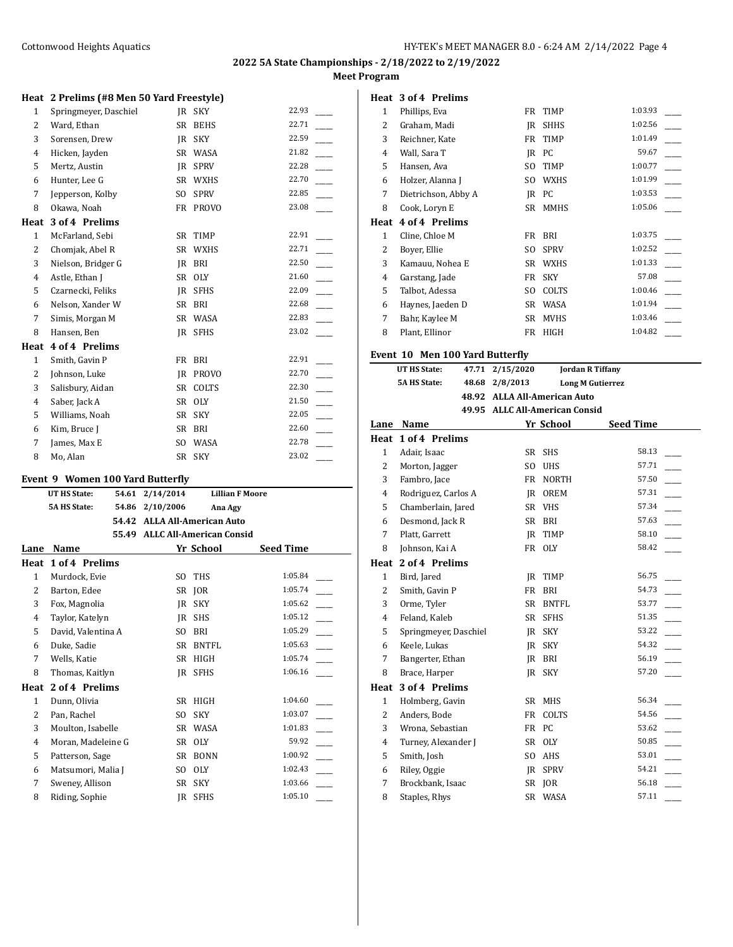# **Meet Program**

#### **Heat 2 Prelims (#8 Men 50 Yard Freestyle)**

| 1              | Springmeyer, Daschiel | IR        | <b>SKY</b>   | 22.93 |
|----------------|-----------------------|-----------|--------------|-------|
| $\overline{2}$ | Ward, Ethan           | <b>SR</b> | <b>BEHS</b>  | 22.71 |
| 3              | Sorensen, Drew        | <b>IR</b> | <b>SKY</b>   | 22.59 |
| 4              | Hicken, Jayden        | SR        | WASA         | 21.82 |
| 5              | Mertz, Austin         | <b>IR</b> | <b>SPRV</b>  | 22.28 |
| 6              | Hunter, Lee G         | SR        | <b>WXHS</b>  | 22.70 |
| 7              | Jepperson, Kolby      | SO.       | <b>SPRV</b>  | 22.85 |
| 8              | Okawa, Noah           | FR        | <b>PROVO</b> | 23.08 |
| Heat           | 3 of 4 Prelims        |           |              |       |
| $\mathbf{1}$   | McFarland, Sebi       | SR        | <b>TIMP</b>  | 22.91 |
| 2              | Chomjak, Abel R       | SR        | <b>WXHS</b>  | 22.71 |
| 3              | Nielson, Bridger G    | IR        | <b>BRI</b>   | 22.50 |
| 4              | Astle, Ethan J        | SR        | <b>OLY</b>   | 21.60 |
| 5              | Czarnecki, Feliks     | <b>IR</b> | <b>SFHS</b>  | 22.09 |
| 6              | Nelson, Xander W      | SR        | BRI          | 22.68 |
| 7              | Simis, Morgan M       | SR        | WASA         | 22.83 |
| 8              | Hansen, Ben           | IR        | <b>SFHS</b>  | 23.02 |
| Heat           | 4 of 4 Prelims        |           |              |       |
| $\mathbf{1}$   | Smith, Gavin P        | FR        | BRI          | 22.91 |
| 2              | Johnson, Luke         | <b>JR</b> | <b>PROVO</b> | 22.70 |
| 3              | Salisbury, Aidan      | SR        | COLTS        | 22.30 |
| 4              | Saber, Jack A         | <b>SR</b> | <b>OLY</b>   | 21.50 |
| 5              | Williams, Noah        | SR        | <b>SKY</b>   | 22.05 |
| 6              | Kim, Bruce J          | SR        | <b>BRI</b>   | 22.60 |
| 7              | James, Max E          | SO.       | <b>WASA</b>  | 22.78 |
| 8              | Mo, Alan              | SR        | <b>SKY</b>   | 23.02 |

## **Event 9 Women 100 Yard Butterfly**

|                | <b>UT HS State:</b> | 54.61 | 2/14/2014 | <b>Lillian F Moore</b>          |                  |
|----------------|---------------------|-------|-----------|---------------------------------|------------------|
|                | <b>5A HS State:</b> | 54.86 | 2/10/2006 | Ana Agy                         |                  |
|                |                     | 54.42 |           | <b>ALLA All-American Auto</b>   |                  |
|                |                     | 55.49 |           | <b>ALLC All-American Consid</b> |                  |
| Lane           | Name                |       |           | Yr School                       | <b>Seed Time</b> |
| Heat           | 1 of 4 Prelims      |       |           |                                 |                  |
| 1              | Murdock, Evie       |       | SO        | <b>THS</b>                      | 1:05.84          |
| 2              | Barton, Edee        |       | SR        | IOR                             | 1:05.74          |
| 3              | Fox, Magnolia       |       | IR        | <b>SKY</b>                      | 1:05.62          |
| $\overline{4}$ | Taylor, Katelyn     |       | IR        | <b>SHS</b>                      | 1:05.12          |
| 5              | David, Valentina A  |       | SO.       | <b>BRI</b>                      | 1:05.29          |
| 6              | Duke, Sadie         |       | SR        | <b>BNTFL</b>                    | 1:05.63          |
| 7              | Wells, Katie        |       | <b>SR</b> | <b>HIGH</b>                     | 1:05.74          |
| 8              | Thomas, Kaitlyn     |       | IR        | <b>SFHS</b>                     | 1:06.16          |
| Heat           | 2 of 4 Prelims      |       |           |                                 |                  |
| 1              | Dunn, Olivia        |       | SR        | <b>HIGH</b>                     | 1:04.60          |
| 2              | Pan, Rachel         |       | SO.       | <b>SKY</b>                      | 1:03.07          |
| 3              | Moulton, Isabelle   |       | SR        | WASA                            | 1:01.83          |
| 4              | Moran, Madeleine G  |       | SR        | <b>OLY</b>                      | 59.92            |
| 5              | Patterson, Sage     |       | <b>SR</b> | <b>BONN</b>                     | 1:00.92          |
| 6              | Matsumori, Malia J  |       | SO.       | <b>OLY</b>                      | 1:02.43          |
| 7              | Sweney, Allison     |       | SR        | <b>SKY</b>                      | 1:03.66          |
| 8              | Riding, Sophie      |       | IR        | <b>SFHS</b>                     | 1:05.10          |

|                | Heat 3 of 4 Prelims |           |             |         |
|----------------|---------------------|-----------|-------------|---------|
| 1              | Phillips, Eva       | FR        | <b>TIMP</b> | 1:03.93 |
| 2              | Graham, Madi        | IR        | <b>SHHS</b> | 1:02.56 |
| 3              | Reichner, Kate      | FR        | <b>TIMP</b> | 1:01.49 |
| $\overline{4}$ | Wall, Sara T        | IR        | PC          | 59.67   |
| 5              | Hansen, Ava         | SO.       | <b>TIMP</b> | 1:00.77 |
| 6              | Holzer, Alanna J    | SO.       | <b>WXHS</b> | 1:01.99 |
| 7              | Dietrichson, Abby A | IR        | PC          | 1:03.53 |
| 8              | Cook, Loryn E       | SR        | <b>MMHS</b> | 1:05.06 |
|                |                     |           |             |         |
| Heat           | 4 of 4 Prelims      |           |             |         |
| 1              | Cline, Chloe M      | FR        | <b>BRI</b>  | 1:03.75 |
| 2              | Boyer, Ellie        | SO.       | <b>SPRV</b> | 1:02.52 |
| 3              | Kamauu, Nohea E     | <b>SR</b> | <b>WXHS</b> | 1:01.33 |
| 4              | Garstang, Jade      | FR        | <b>SKY</b>  | 57.08   |
| 5              | Talbot, Adessa      | SO.       | COLTS       | 1:00.46 |
| 6              | Haynes, Jaeden D    | SR        | WASA        | 1:01.94 |
| 7              | Bahr, Kaylee M      | SR        | <b>MVHS</b> | 1:03.46 |

## **Event 10 Men 100 Yard Butterfly**

| UT HS State:        | 47.71 2/15/2020                | <b>Jordan R Tiffany</b> |                  |  |
|---------------------|--------------------------------|-------------------------|------------------|--|
| <b>5A HS State:</b> | 48.68 2/8/2013                 | <b>Long M Gutierrez</b> |                  |  |
|                     | 48.92 ALLA All-American Auto   |                         |                  |  |
|                     | 49.95 ALLC All-American Consid |                         |                  |  |
| Lane<br>Name        |                                | Yr School               | <b>Seed Time</b> |  |

| панс         | маше                  | 11             | ocuovi       | зееч типе |
|--------------|-----------------------|----------------|--------------|-----------|
| Heat         | 1 of 4 Prelims        |                |              |           |
| $\mathbf{1}$ | Adair, Isaac          |                | SR SHS       | 58.13     |
| 2            | Morton, Jagger        | S <sub>O</sub> | <b>UHS</b>   | 57.71     |
| 3            | Fambro, Jace          | <b>FR</b>      | <b>NORTH</b> | 57.50     |
| 4            | Rodriguez, Carlos A   | IR             | <b>OREM</b>  | 57.31     |
| 5            | Chamberlain, Jared    | SR             | <b>VHS</b>   | 57.34     |
| 6            | Desmond, Jack R       | SR             | <b>BRI</b>   | 57.63     |
| 7            | Platt, Garrett        | <b>IR</b>      | <b>TIMP</b>  | 58.10     |
| 8            | Johnson, Kai A        | FR             | <b>OLY</b>   | 58.42     |
| Heat         | 2 of 4 Prelims        |                |              |           |
| $\mathbf{1}$ | Bird, Jared           | IR             | <b>TIMP</b>  | 56.75     |
| 2            | Smith, Gavin P        | FR             | <b>BRI</b>   | 54.73     |
| 3            | Orme, Tyler           | <b>SR</b>      | <b>BNTFL</b> | 53.77     |
| 4            | Feland, Kaleb         | <b>SR</b>      | <b>SFHS</b>  | 51.35     |
| 5            | Springmeyer, Daschiel | IR             | <b>SKY</b>   | 53.22     |
| 6            | Keele, Lukas          | IR             | <b>SKY</b>   | 54.32     |
| 7            | Bangerter, Ethan      | IR             | <b>BRI</b>   | 56.19     |
| 8            | Brace, Harper         |                | IR SKY       | 57.20     |
| Heat         | 3 of 4 Prelims        |                |              |           |
| $\mathbf{1}$ | Holmberg, Gavin       | SR             | <b>MHS</b>   | 56.34     |
| 2            | Anders, Bode          | FR             | <b>COLTS</b> | 54.56     |
| 3            | Wrona, Sebastian      | FR             | PC           | 53.62     |
| 4            | Turney, Alexander J   | SR             | <b>OLY</b>   | 50.85     |
| 5            | Smith, Josh           | SO.            | AHS          | 53.01     |
| 6            | Riley, Oggie          | IR             | <b>SPRV</b>  | 54.21     |
| 7            | Brockbank, Isaac      | SR             | IOR          | 56.18     |
| 8            | Staples, Rhys         |                | SR WASA      | 57.11     |
|              |                       |                |              |           |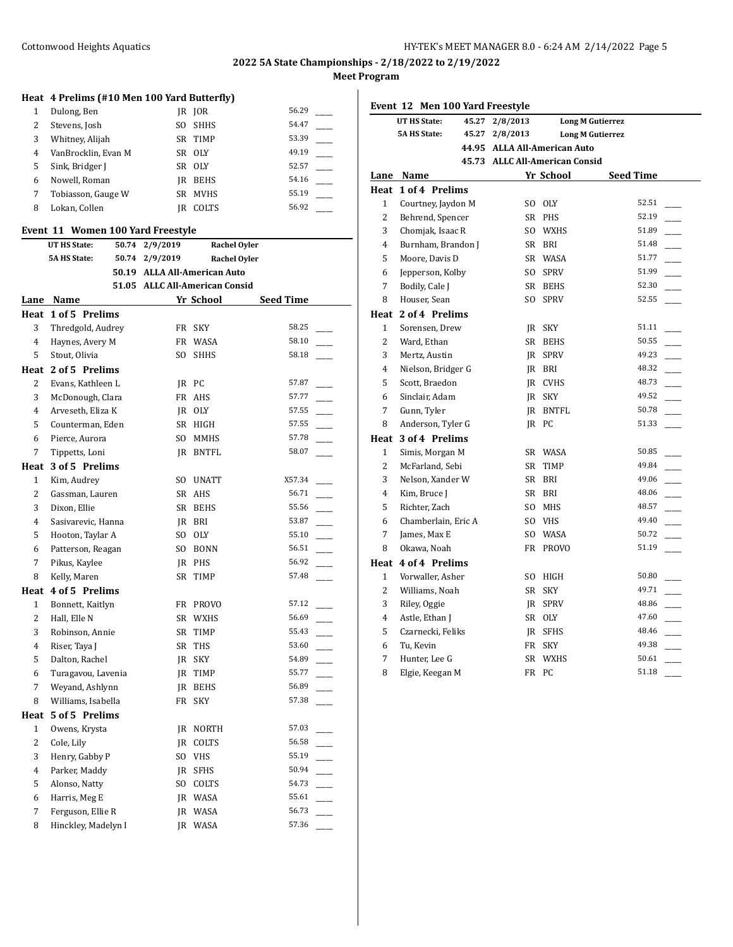# **Heat 4 Prelims (#10 Men 100 Yard Butterfly)**

| 1  | Dulong, Ben         |     | JR JOR      | 56.29 |
|----|---------------------|-----|-------------|-------|
| 2  | Stevens, Josh       | SΟ  | <b>SHHS</b> | 54.47 |
| 3  | Whitney, Alijah     |     | SR TIMP     | 53.39 |
| 4  | VanBrocklin, Evan M | SR  | 0LY         | 49.19 |
| 5. | Sink, Bridger J     | SR  | 0LY         | 52.57 |
| 6  | Nowell, Roman       | IR  | <b>BEHS</b> | 54.16 |
| 7  | Tobiasson, Gauge W  | SR. | <b>MVHS</b> | 55.19 |
| 8  | Lokan, Collen       | IR  | COLTS       | 56.92 |

## **Event 11 Women 100 Yard Freestyle**

|                | UT HS State:        | 50.74 | 2/9/2019 | <b>Rachel Oyler</b>            |                  |                          |
|----------------|---------------------|-------|----------|--------------------------------|------------------|--------------------------|
|                | <b>5A HS State:</b> | 50.74 | 2/9/2019 | <b>Rachel Oyler</b>            |                  |                          |
|                |                     |       |          | 50.19 ALLA All-American Auto   |                  |                          |
|                |                     |       |          | 51.05 ALLC All-American Consid |                  |                          |
|                | Lane Name           |       |          | Yr School                      | <b>Seed Time</b> |                          |
|                | Heat 1 of 5 Prelims |       |          |                                |                  |                          |
| 3              | Thredgold, Audrey   |       | FR       | <b>SKY</b>                     | 58.25            |                          |
| 4              | Haynes, Avery M     |       |          | FR WASA                        | 58.10            |                          |
| 5              | Stout, Olivia       |       | SO.      | <b>SHHS</b>                    | 58.18            |                          |
|                | Heat 2 of 5 Prelims |       |          |                                |                  |                          |
| 2              | Evans, Kathleen L   |       |          | JR PC                          | 57.87            |                          |
| 3              | McDonough, Clara    |       |          | FR AHS                         | 57.77            |                          |
| 4              | Arveseth, Eliza K   |       |          | IR OLY                         | 57.55            |                          |
| 5              | Counterman, Eden    |       |          | SR HIGH                        | 57.55            |                          |
| 6              | Pierce, Aurora      |       |          | SO MMHS                        | 57.78            |                          |
| 7              | Tippetts, Loni      |       |          | JR BNTFL                       | 58.07            |                          |
|                | Heat 3 of 5 Prelims |       |          |                                |                  |                          |
| $\mathbf{1}$   | Kim, Audrey         |       |          | SO UNATT                       | X57.34           |                          |
| $\overline{c}$ | Gassman, Lauren     |       |          | SR AHS                         | 56.71            |                          |
| 3              | Dixon, Ellie        |       |          | SR BEHS                        | 55.56            |                          |
| $\overline{4}$ | Sasivarevic, Hanna  |       |          | JR BRI                         | 53.87            |                          |
| 5              | Hooton, Taylar A    |       |          | SO OLY                         | 55.10            |                          |
| 6              | Patterson, Reagan   |       |          | SO BONN                        | 56.51            |                          |
| 7              | Pikus, Kaylee       |       |          | JR PHS                         | 56.92            |                          |
| 8              | Kelly, Maren        |       | SR       | TIMP                           | 57.48            |                          |
|                | Heat 4 of 5 Prelims |       |          |                                |                  |                          |
| $\mathbf{1}$   | Bonnett, Kaitlyn    |       |          | FR PROVO                       | 57.12            |                          |
| 2              | Hall, Elle N        |       |          | SR WXHS                        | 56.69            |                          |
| 3              | Robinson, Annie     |       |          | SR TIMP                        | 55.43            |                          |
| 4              | Riser, Taya J       |       |          | SR THS                         | 53.60            |                          |
| 5              | Dalton, Rachel      |       |          | IR SKY                         | 54.89            |                          |
| 6              | Turagavou, Lavenia  |       |          | IR TIMP                        | 55.77            |                          |
| 7              | Weyand, Ashlynn     |       |          | IR BEHS                        | 56.89            |                          |
| 8              | Williams, Isabella  |       | FR       | <b>SKY</b>                     | 57.38            |                          |
| Heat           | 5 of 5 Prelims      |       |          |                                |                  |                          |
| 1              | Owens, Krysta       |       |          | <b>IR NORTH</b>                | 57.03            |                          |
| 2              | Cole, Lily          |       |          | IR COLTS                       | 56.58            | $\overline{\phantom{a}}$ |
| 3              | Henry, Gabby P      |       |          | SO VHS                         | 55.19            |                          |
| 4              | Parker, Maddy       |       |          | IR SFHS                        | 50.94            |                          |
| 5              | Alonso, Natty       |       |          | SO COLTS                       | 54.73            |                          |
| 6              | Harris, Meg E       |       |          | JR WASA                        | 55.61            |                          |
| $\overline{7}$ | Ferguson, Ellie R   |       |          | <b>IR WASA</b>                 | 56.73            |                          |
| 8              | Hinckley, Madelyn I |       | IR       | WASA                           | 57.36            |                          |

| Event 12 Men 100 Yard Freestyle |                            |       |                                |                              |                         |  |  |
|---------------------------------|----------------------------|-------|--------------------------------|------------------------------|-------------------------|--|--|
|                                 | UT HS State:               | 45.27 | 2/8/2013                       |                              | <b>Long M Gutierrez</b> |  |  |
|                                 | <b>5A HS State:</b>        |       | 45.27 2/8/2013                 |                              | <b>Long M Gutierrez</b> |  |  |
|                                 |                            |       |                                | 44.95 ALLA All-American Auto |                         |  |  |
|                                 |                            |       | 45.73 ALLC All-American Consid |                              |                         |  |  |
|                                 | Lane Name                  |       |                                | Yr School                    | <b>Seed Time</b>        |  |  |
|                                 | <b>Heat 1 of 4 Prelims</b> |       |                                |                              |                         |  |  |
| $\mathbf{1}$                    | Courtney, Jaydon M         |       |                                | SO OLY                       | 52.51                   |  |  |
| $\overline{2}$                  | Behrend, Spencer           |       | <b>SR</b>                      | <b>PHS</b>                   | 52.19                   |  |  |
| 3                               | Chomjak, Isaac R           |       | SO.                            | <b>WXHS</b>                  | 51.89                   |  |  |
| 4                               | Burnham, Brandon J         |       | SR                             | BRI                          | 51.48                   |  |  |
| 5                               | Moore, Davis D             |       | <b>SR</b>                      | <b>WASA</b>                  | 51.77                   |  |  |
| 6                               | Jepperson, Kolby           |       | SO.                            | <b>SPRV</b>                  | 51.99                   |  |  |
| $\overline{7}$                  | Bodily, Cale J             |       | SR                             | <b>BEHS</b>                  | 52.30                   |  |  |
| 8                               | Houser, Sean               |       | S <sub>O</sub>                 | <b>SPRV</b>                  | 52.55                   |  |  |
|                                 | Heat 2 of 4 Prelims        |       |                                |                              |                         |  |  |
| 1                               | Sorensen, Drew             |       | JR                             | <b>SKY</b>                   | 51.11                   |  |  |
| 2                               | Ward, Ethan                |       | SR                             | <b>BEHS</b>                  | 50.55                   |  |  |
| 3                               | Mertz, Austin              |       | IR.                            | <b>SPRV</b>                  | 49.23                   |  |  |
| 4                               | Nielson, Bridger G         |       | IR.                            | BRI                          | 48.32                   |  |  |
| 5                               | Scott, Braedon             |       | IR.                            | <b>CVHS</b>                  | 48.73                   |  |  |
| 6                               | Sinclair, Adam             |       | JR                             | SKY                          | 49.52                   |  |  |
| 7                               | Gunn, Tyler                |       | JR                             | <b>BNTFL</b>                 | 50.78                   |  |  |
| 8                               | Anderson, Tyler G          |       | JR                             | PC                           | 51.33                   |  |  |
|                                 | Heat 3 of 4 Prelims        |       |                                |                              |                         |  |  |
| 1                               | Simis, Morgan M            |       | SR                             | WASA                         | 50.85                   |  |  |
| $\overline{2}$                  | McFarland, Sebi            |       | <b>SR</b>                      | <b>TIMP</b>                  | 49.84                   |  |  |
| 3                               | Nelson, Xander W           |       | SR                             | BRI                          | 49.06                   |  |  |
| 4                               | Kim, Bruce J               |       | SR                             | BRI                          | 48.06                   |  |  |
| 5                               | Richter, Zach              |       | SO.                            | <b>MHS</b>                   | 48.57                   |  |  |
| 6                               | Chamberlain, Eric A        |       | S <sub>O</sub>                 | <b>VHS</b>                   | 49.40                   |  |  |
| 7                               | James, Max E               |       | S <sub>O</sub>                 | <b>WASA</b>                  | 50.72                   |  |  |
| 8                               | Okawa, Noah                |       | <b>FR</b>                      | <b>PROVO</b>                 | 51.19                   |  |  |
|                                 | Heat 4 of 4 Prelims        |       |                                |                              |                         |  |  |
| $\mathbf{1}$                    | Vorwaller, Asher           |       | SO.                            | HIGH                         | 50.80                   |  |  |
| 2                               | Williams, Noah             |       | <b>SR</b>                      | <b>SKY</b>                   | 49.71                   |  |  |
| 3                               | Riley, Oggie               |       | IR                             | <b>SPRV</b>                  | 48.86                   |  |  |
| $\overline{4}$                  | Astle, Ethan J             |       | SR                             | OLY                          | 47.60                   |  |  |
| 5                               | Czarnecki, Feliks          |       | JR                             | SFHS                         | 48.46                   |  |  |
| 6                               | Tu, Kevin                  |       | FR                             | <b>SKY</b>                   | 49.38                   |  |  |
| 7                               | Hunter, Lee G              |       | SR                             | <b>WXHS</b>                  | 50.61                   |  |  |
| 8                               | Elgie, Keegan M            |       | <b>FR</b>                      | PC                           | 51.18                   |  |  |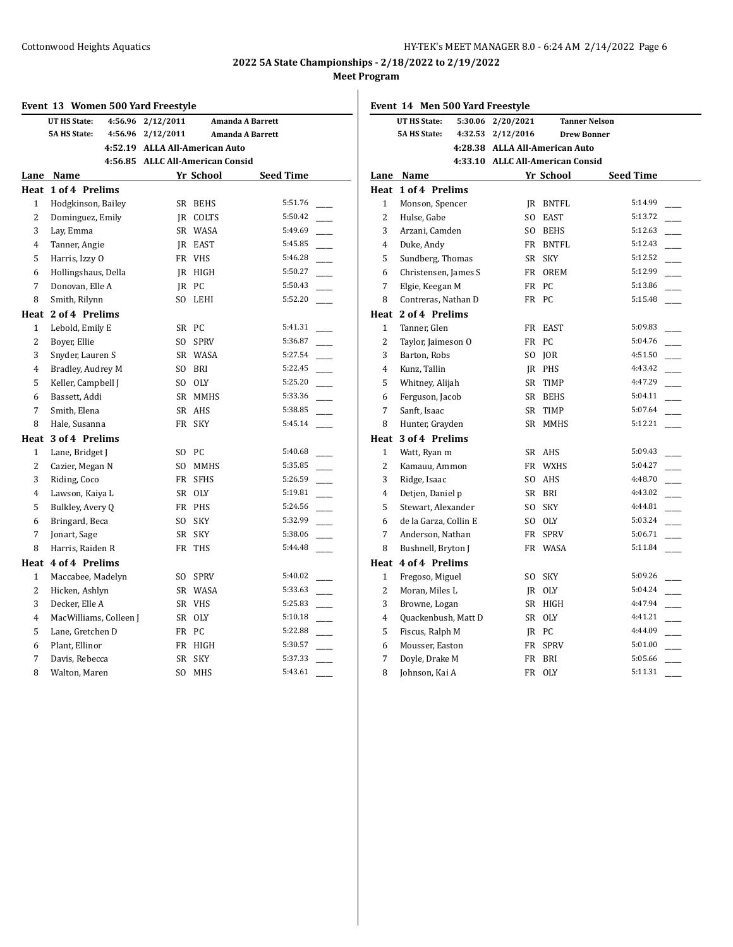#### **Event 13 Women 500 Yard Freestyle**

| 77 CIIL 19     | women 500 Taru Heeseyie<br>UT HS State: | 4:56.96 2/12/2011 | Amanda A Barrett                 |                                     |
|----------------|-----------------------------------------|-------------------|----------------------------------|-------------------------------------|
|                | <b>5A HS State:</b><br>4:56.96          | 2/12/2011         | Amanda A Barrett                 |                                     |
|                |                                         |                   | 4:52.19 ALLA All-American Auto   |                                     |
|                |                                         |                   | 4:56.85 ALLC All-American Consid |                                     |
| Lane           | Name                                    |                   | Yr School                        | <b>Seed Time</b>                    |
| Heat           | 1 of 4 Prelims                          |                   |                                  |                                     |
| $\mathbf{1}$   | Hodgkinson, Bailey                      |                   | SR BEHS                          | 5:51.76                             |
| 2              | Dominguez, Emily                        |                   | IR COLTS                         | 5:50.42                             |
| 3              | Lay, Emma                               |                   | SR WASA                          | 5:49.69                             |
| 4              | Tanner, Angie                           |                   | IR EAST                          | 5:45.85                             |
| 5              | Harris, Izzy O                          |                   | FR VHS                           | 5:46.28                             |
| 6              | Hollingshaus, Della                     |                   | JR HIGH                          | 5:50.27                             |
| 7              | Donovan, Elle A                         |                   | JR PC                            | 5:50.43                             |
| 8              | Smith, Rilynn                           | SO.               | LEHI                             | 5:52.20                             |
|                | Heat 2 of 4 Prelims                     |                   |                                  |                                     |
| $\mathbf{1}$   | Lebold, Emily E                         |                   | SR PC                            | 5:41.31                             |
| $\overline{c}$ | Boyer, Ellie                            | SO.               | <b>SPRV</b>                      | 5:36.87                             |
| 3              | Snyder, Lauren S                        |                   | SR WASA                          | 5:27.54<br>$\overline{\phantom{0}}$ |
| 4              | Bradley, Audrey M                       | SO.               | BRI                              | 5:22.45                             |
| 5              | Keller, Campbell J                      |                   | SO OLY                           | 5:25.20                             |
| 6              | Bassett, Addi                           |                   | SR MMHS                          | 5:33.36                             |
| 7              | Smith, Elena                            |                   | SR AHS                           | 5:38.85                             |
| 8              | Hale, Susanna                           |                   | FR SKY                           | 5:45.14                             |
|                | Heat 3 of 4 Prelims                     |                   |                                  |                                     |
| 1              | Lane, Bridget J                         |                   | SO PC                            | 5:40.68                             |
| 2              | Cazier, Megan N                         | SO -              | <b>MMHS</b>                      | 5:35.85                             |
| 3              | Riding, Coco                            |                   | FR SFHS                          | 5:26.59                             |
| $\overline{4}$ | Lawson, Kaiya L                         |                   | SR OLY                           | 5:19.81                             |
| 5              | Bulkley, Avery Q                        |                   | FR PHS                           | 5:24.56                             |
| 6              | Bringard, Beca                          |                   | SO SKY                           | 5:32.99                             |
| 7              | Jonart, Sage                            |                   | SR SKY                           | 5:38.06                             |
| 8              | Harris, Raiden R                        | FR                | <b>THS</b>                       | 5:44.48                             |
| Heat           | 4 of 4 Prelims                          |                   |                                  |                                     |
| $\mathbf{1}$   | Maccabee, Madelyn                       |                   | SO SPRV                          | 5:40.02                             |
| $\overline{c}$ | Hicken, Ashlyn                          |                   | SR WASA                          | 5:33.63                             |
| 3              | Decker, Elle A                          |                   | SR VHS                           | 5:25.83                             |
| $\overline{4}$ | MacWilliams, Colleen J                  |                   | SR OLY                           | 5:10.18                             |
| 5              | Lane, Gretchen D                        |                   | FR PC                            | 5:22.88                             |
| 6              | Plant, Ellinor                          |                   | FR HIGH                          | 5:30.57                             |
| 7              | Davis, Rebecca                          | <b>SR</b>         | <b>SKY</b>                       | 5:37.33                             |
| 8              | Walton, Maren                           | SO.               | <b>MHS</b>                       | 5:43.61                             |

| Event 14 Men 500 Yard Freestyle |                         |                                  |             |                      |  |  |  |
|---------------------------------|-------------------------|----------------------------------|-------------|----------------------|--|--|--|
|                                 | 5:30.06<br>UT HS State: | 2/20/2021                        |             | <b>Tanner Nelson</b> |  |  |  |
|                                 | <b>5A HS State:</b>     | 4:32.53 2/12/2016                |             | <b>Drew Bonner</b>   |  |  |  |
|                                 |                         | 4:28.38 ALLA All-American Auto   |             |                      |  |  |  |
|                                 |                         | 4:33.10 ALLC All-American Consid |             |                      |  |  |  |
|                                 | Lane Name               |                                  | Yr School   | <b>Seed Time</b>     |  |  |  |
| Heat                            | 1 of 4 Prelims          |                                  |             |                      |  |  |  |
| $\mathbf{1}$                    | Monson, Spencer         |                                  | IR BNTFL    | 5:14.99              |  |  |  |
| $\overline{2}$                  | Hulse, Gabe             |                                  | SO EAST     | 5:13.72              |  |  |  |
| 3                               | Arzani, Camden          |                                  | SO BEHS     | 5:12.63              |  |  |  |
| 4                               | Duke, Andy              |                                  | FR BNTFL    | 5:12.43              |  |  |  |
| 5                               | Sundberg, Thomas        | SR                               | <b>SKY</b>  | 5:12.52              |  |  |  |
| 6                               | Christensen, James S    |                                  | FR OREM     | 5:12.99              |  |  |  |
| $\overline{7}$                  | Elgie, Keegan M         |                                  | FR PC       | 5:13.86              |  |  |  |
| 8                               | Contreras, Nathan D     |                                  | FR PC       | 5:15.48              |  |  |  |
| Heat                            | 2 of 4 Prelims          |                                  |             |                      |  |  |  |
| $\mathbf{1}$                    | Tanner, Glen            | FR                               | EAST        | 5:09.83              |  |  |  |
| $\overline{2}$                  | Taylor, Jaimeson O      |                                  | FR PC       | 5:04.76              |  |  |  |
| 3                               | Barton, Robs            |                                  | SO JOR      | 4:51.50              |  |  |  |
| 4                               | Kunz, Tallin            |                                  | JR PHS      | 4:43.42              |  |  |  |
| 5                               | Whitney, Alijah         |                                  | SR TIMP     | 4:47.29              |  |  |  |
| 6                               | Ferguson, Jacob         |                                  | SR BEHS     | 5:04.11              |  |  |  |
| $\overline{7}$                  | Sanft, Isaac            |                                  | SR TIMP     | 5:07.64              |  |  |  |
| 8                               | Hunter, Grayden         | SR                               | MMHS        | 5:12.21              |  |  |  |
| Heat                            | 3 of 4 Prelims          |                                  |             |                      |  |  |  |
| $\mathbf{1}$                    | Watt, Ryan m            |                                  | SR AHS      | 5:09.43              |  |  |  |
| 2                               | Kamauu, Ammon           |                                  | FR WXHS     | 5:04.27              |  |  |  |
| 3                               | Ridge, Isaac            |                                  | SO AHS      | 4:48.70              |  |  |  |
| $\overline{4}$                  | Detjen, Daniel p        |                                  | SR BRI      | 4:43.02              |  |  |  |
| 5                               | Stewart, Alexander      | SO.                              | <b>SKY</b>  | 4:44.81              |  |  |  |
| 6                               | de la Garza, Collin E   |                                  | SO OLY      | 5:03.24              |  |  |  |
| 7                               | Anderson, Nathan        |                                  | FR SPRV     | 5:06.71              |  |  |  |
| 8                               | Bushnell, Bryton J      |                                  | FR WASA     | 5:11.84              |  |  |  |
| Heat                            | 4 of 4 Prelims          |                                  |             |                      |  |  |  |
| $\mathbf{1}$                    | Fregoso, Miguel         | SO.                              | <b>SKY</b>  | 5:09.26              |  |  |  |
| 2                               | Moran, Miles L          |                                  | IR OLY      | 5:04.24              |  |  |  |
| 3                               | Browne, Logan           |                                  | SR HIGH     | 4:47.94              |  |  |  |
| $\overline{4}$                  | Quackenbush, Matt D     |                                  | SR OLY      | 4:41.21              |  |  |  |
| 5                               | Fiscus, Ralph M         |                                  | JR PC       | 4:44.09              |  |  |  |
| 6                               | Mousser, Easton         | FR                               | <b>SPRV</b> | 5:01.00              |  |  |  |
| 7                               | Doyle, Drake M          |                                  | FR BRI      | 5:05.66              |  |  |  |
| 8                               | Johnson, Kai A          |                                  | FR OLY      | 5:11.31              |  |  |  |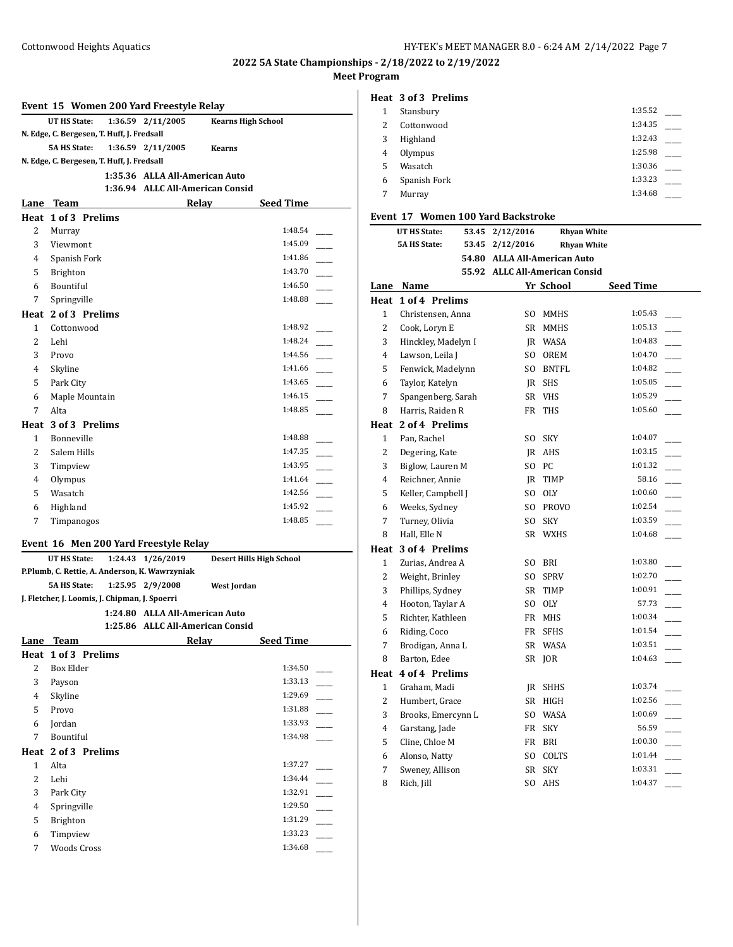**Meet Program**

# **Event 15 Women 200 Yard Freestyle Relay UT HS State: 1:36.59 2/11/2005 Kearns High School N. Edge, C. Bergesen, T. Huff, J. Fredsall 5A HS State: 1:36.59 2/11/2005 Kearns N. Edge, C. Bergesen, T. Huff, J. Fredsall 1:35.36 ALLA All-American Auto 1:36.94 ALLC All-American Consid Lane Team Relay Seed Time Heat 1 of 3 Prelims** 2 Murray 1:48.54 \_\_\_\_\_ 3 Viewmont 1:45.09 4 Spanish Fork 1:41.86 5 Brighton 1:43.70 6 Bountiful 1:46.50 \_\_\_\_\_ 7 Springville 1:48.88 **Heat 2 of 3 Prelims** 1 Cottonwood 1:48.92 2 Lehi 1:48.24 \_\_\_\_\_ 3 Provo 1:44.56 \_\_\_\_\_ 4 Skyline 1:41.66 5 Park City 1:43.65 \_\_\_\_\_ 6 Maple Mountain 1:46.15 7 Alta 1:48.85 \_\_\_\_\_ **Heat 3 of 3 Prelims** 1 Bonneville 1:48.88 2 Salem Hills 1:47.35 3 Timpview 1:43.95 4 Olympus 1:41.64 \_\_\_\_\_ 5 Wasatch 1:42.56 \_\_\_\_\_ 6 Highland 1:45.92 \_\_\_\_\_ 7 Timpanogos 1:48.85 \_\_\_\_\_ **Event 16 Men 200 Yard Freestyle Relay UT HS State: 1:24.43 1/26/2019 Desert Hills High School P.Plumb, C. Rettie, A. Anderson, K. Wawrzyniak 5A HS State: 1:25.95 2/9/2008 West Jordan J. Fletcher, J. Loomis, J. Chipman, J. Spoerri 1:24.80 ALLA All-American Auto 1:25.86 ALLC All-American Consid Lane Team Relay Seed Time Heat 1 of 3 Prelims** 2 Box Elder 1:34.50 3 Payson 1:33.13 \_\_\_\_\_ 4 Skyline 1:29.69 5 Provo 1:31.88 \_\_\_\_\_ 6 Jordan 1:33.93 \_\_\_\_\_ 7 Bountiful 1:34.98 **Heat 2 of 3 Prelims** 1 Alta 1:37.27 \_\_\_\_\_ 2 Lehi 1:34.44 \_\_\_\_\_ 3 Park City 1:32.91 4 Springville 1:29.50 5 Brighton 1:31.29 6 Timpview 1:33.23 \_\_\_\_\_

7 Woods Cross 1:34.68 \_\_\_\_\_

|   | Heat 3 of 3 Prelims |         |
|---|---------------------|---------|
| 1 | Stansbury           | 1:35.52 |
| 2 | Cottonwood          | 1:34.35 |
| 3 | Highland            | 1:32.43 |
| 4 | Olympus             | 1:25.98 |
| 5 | Wasatch             | 1:30.36 |
| 6 | Spanish Fork        | 1:33.23 |
| 7 | Murray              | 1:34.68 |
|   |                     |         |

#### **Event 17 Women 100 Yard Backstroke**

|                | UT HS State:        | 53.45 2/12/2016                |              | <b>Rhyan White</b> |  |
|----------------|---------------------|--------------------------------|--------------|--------------------|--|
|                | <b>5A HS State:</b> | 53.45 2/12/2016                |              | <b>Rhyan White</b> |  |
|                |                     | 54.80 ALLA All-American Auto   |              |                    |  |
|                |                     | 55.92 ALLC All-American Consid |              |                    |  |
| Lane           | Name                |                                | Yr School    | <b>Seed Time</b>   |  |
| Heat           | 1 of 4 Prelims      |                                |              |                    |  |
| $\mathbf{1}$   | Christensen, Anna   | SO.                            | <b>MMHS</b>  | 1:05.43            |  |
| $\overline{c}$ | Cook, Loryn E       | SR                             | <b>MMHS</b>  | 1:05.13            |  |
| 3              | Hinckley, Madelyn I |                                | JR WASA      | 1:04.83            |  |
| 4              | Lawson, Leila J     | SO.                            | <b>OREM</b>  | 1:04.70            |  |
| 5              | Fenwick, Madelynn   |                                | SO BNTFL     | 1:04.82            |  |
| 6              | Taylor, Katelyn     |                                | JR SHS       | 1:05.05            |  |
| 7              | Spangenberg, Sarah  |                                | SR VHS       | 1:05.29            |  |
| 8              | Harris, Raiden R    |                                | FR THS       | 1:05.60            |  |
| Heat           | 2 of 4 Prelims      |                                |              |                    |  |
| $\mathbf{1}$   | Pan, Rachel         |                                | SO SKY       | 1:04.07            |  |
| 2              | Degering, Kate      |                                | IR AHS       | 1:03.15            |  |
| 3              | Biglow, Lauren M    | SO                             | PC           | 1:01.32            |  |
| 4              | Reichner, Annie     |                                | JR TIMP      | 58.16              |  |
| 5              | Keller, Campbell J  | SO.                            | <b>OLY</b>   | 1:00.60            |  |
| 6              | Weeks, Sydney       |                                | SO PROVO     | 1:02.54            |  |
| 7              | Turney, Olivia      | SO.                            | <b>SKY</b>   | 1:03.59            |  |
| 8              | Hall, Elle N        |                                | SR WXHS      | 1:04.68            |  |
| Heat           | 3 of 4 Prelims      |                                |              |                    |  |
| $\mathbf{1}$   | Zurias, Andrea A    |                                | SO BRI       | 1:03.80            |  |
| 2              | Weight, Brinley     |                                | SO SPRV      | 1:02.70            |  |
| 3              | Phillips, Sydney    | SR                             | <b>TIMP</b>  | 1:00.91            |  |
| 4              | Hooton, Taylar A    | SO.                            | 0LY          | 57.73              |  |
| 5              | Richter, Kathleen   |                                | FR MHS       | 1:00.34            |  |
| 6              | Riding, Coco        | FR                             | <b>SFHS</b>  | 1:01.54            |  |
| 7              | Brodigan, Anna L    |                                | SR WASA      | 1:03.51            |  |
| 8              | Barton, Edee        |                                | SR JOR       | 1:04.63            |  |
| Heat           | 4 of 4 Prelims      |                                |              |                    |  |
| 1              | Graham, Madi        |                                | JR SHHS      | 1:03.74            |  |
| 2              | Humbert, Grace      |                                | SR HIGH      | 1:02.56            |  |
| 3              | Brooks, Emercynn L  |                                | SO WASA      | 1:00.69            |  |
| $\overline{4}$ | Garstang, Jade      |                                | FR SKY       | 56.59              |  |
| 5              | Cline, Chloe M      | FR                             | <b>BRI</b>   | 1:00.30            |  |
| 6              | Alonso, Natty       | SO.                            | <b>COLTS</b> | 1:01.44            |  |
| 7              | Sweney, Allison     | SR                             | <b>SKY</b>   | 1:03.31            |  |
| 8              | Rich, Jill          | SO                             | AHS          | 1:04.37            |  |
|                |                     |                                |              |                    |  |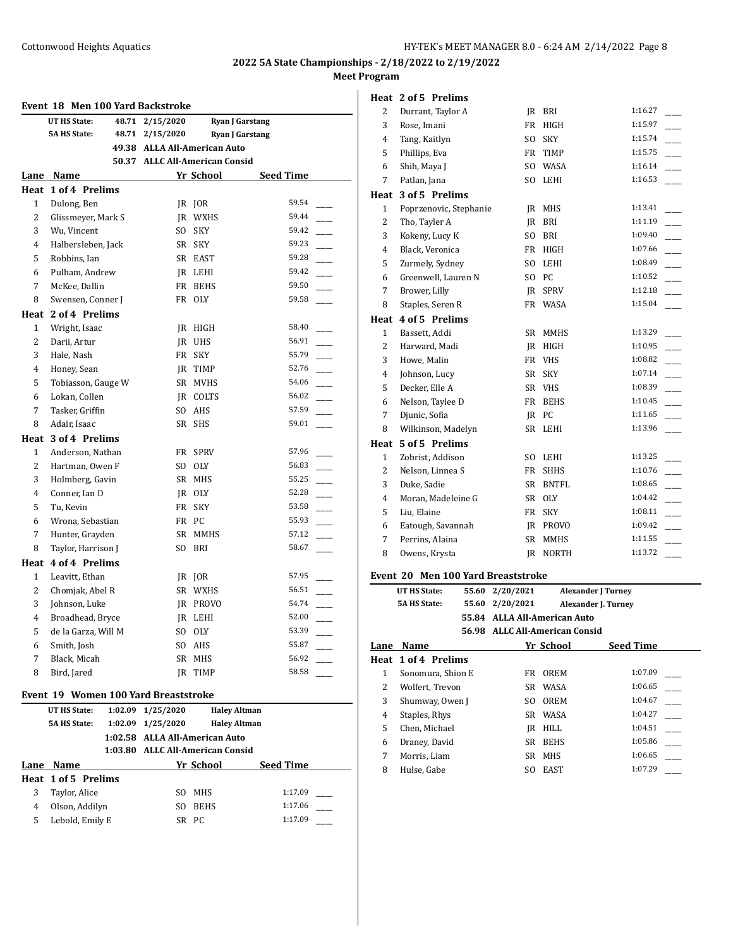**Heat 2 of 5 Prelims**

#### **Meet Program**

# **Event 18 Men 100 Yard Backstroke UT HS State: 48.71 2/15/2020 Ryan J Garstang 5A HS State: 48.71 2/15/2020 Ryan J Garstang 49.38 ALLA All-American Auto 50.37 ALLC All-American Consid Lane Name Yr School Seed Time Heat 1 of 4 Prelims** 1 Dulong, Ben JR JOR 59.54 2 Glissmeyer, Mark S JR WXHS 59.44 3 Wu, Vincent SO SKY 59.42 4 Halbersleben, Jack SR SKY 59.23 5 Robbins, Ian SR EAST 59.28 6 Pulham, Andrew JR LEHI 59.42 7 McKee, Dallin FR BEHS 59.50 8 Swensen, Conner J FR OLY 59.58 **Heat 2 of 4 Prelims** 1 Wright, Isaac JR HIGH 58.40 2 Darii, Artur JR UHS 56.91 3 Hale, Nash FR SKY 55.79 4 Honey, Sean JR TIMP 52.76 5 Tobiasson, Gauge W SR MVHS 54.06 6 Lokan, Collen JR COLTS 56.02 7 Tasker, Griffin SO AHS 57.59 8 Adair, Isaac SR SHS 59.01 **Heat 3 of 4 Prelims** 1 Anderson, Nathan FR SPRV 57.96 2 Hartman, Owen F SO OLY 56.83 3 Holmberg, Gavin SR MHS 55.25 4 Conner, Ian D JR OLY 52.28 5 Tu, Kevin FR SKY 53.58 6 Wrona, Sebastian FR PC 55.93 7 Hunter, Grayden SR MMHS 57.12 8 Taylor, Harrison J SO BRI 58.67 **Heat 4 of 4 Prelims** 1 Leavitt, Ethan JR JOR 57.95 2 Chomjak, Abel R SR WXHS 56.51 3 Johnson, Luke JR PROVO 54.74 4 Broadhead, Bryce JR LEHI 52.00 5 de la Garza, Will M SO OLY 53.39 6 Smith, Josh SO AHS 55.87 7 Black, Micah SR MHS 56.92 8 Bird, Jared JR TIMP 58.58 **Event 19 Women 100 Yard Breaststroke UT HS State: 1:02.09 1/25/2020 Haley Altman 5A HS State: 1:02.09 1/25/2020 Haley Altman 1:02.58 ALLA All-American Auto**

| Lane Name           | Yr School          | <b>Seed Time</b>                 |  |
|---------------------|--------------------|----------------------------------|--|
| Heat 1 of 5 Prelims |                    |                                  |  |
| Taylor, Alice       | SO MHS             | 1:17.09                          |  |
| Olson, Addilyn      | <b>BEHS</b><br>SO. | 1:17.06                          |  |
| Lebold, Emily E     | SR PC              | 1:17.09                          |  |
|                     |                    | 1:03.80 ALLC All-American Consid |  |

| 2              | Durrant, Taylor A      |                | IR BRI       | 1:16.27 |
|----------------|------------------------|----------------|--------------|---------|
| 3              | Rose, Imani            | <b>FR</b>      | HIGH         | 1:15.97 |
| $\overline{4}$ | Tang, Kaitlyn          | S <sub>O</sub> | <b>SKY</b>   | 1:15.74 |
| 5              | Phillips, Eva          | <b>FR</b>      | TIMP         | 1:15.75 |
| 6              | Shih, Maya J           | SO.            | WASA         | 1:16.14 |
| 7              | Patlan, Jana           | SO.            | LEHI         | 1:16.53 |
| Heat           | 3 of 5 Prelims         |                |              |         |
| 1              | Poprzenovic, Stephanie | JR.            | MHS          | 1:13.41 |
| 2              | Tho, Tayler A          | IR             | <b>BRI</b>   | 1:11.19 |
| 3              | Kokeny, Lucy K         | SO.            | BRI          | 1:09.40 |
| 4              | Black, Veronica        |                | FR HIGH      | 1:07.66 |
| 5              | Zurmely, Sydney        | S <sub>O</sub> | <b>LEHI</b>  | 1:08.49 |
| 6              | Greenwell, Lauren N    | SO.            | PC           | 1:10.52 |
| 7              | Brower, Lilly          | IR             | <b>SPRV</b>  | 1:12.18 |
| 8              | Staples, Seren R       |                | FR WASA      | 1:15.04 |
| Heat           | 4 of 5 Prelims         |                |              |         |
| $\mathbf{1}$   | Bassett, Addi          | <b>SR</b>      | <b>MMHS</b>  | 1:13.29 |
| 2              | Harward, Madi          |                | JR HIGH      | 1:10.95 |
| 3              | Howe, Malin            |                | FR VHS       | 1:08.82 |
| $\overline{4}$ | Johnson, Lucy          | SR             | <b>SKY</b>   | 1:07.14 |
| 5              | Decker, Elle A         | SR             | <b>VHS</b>   | 1:08.39 |
| 6              | Nelson, Taylee D       | <b>FR</b>      | <b>BEHS</b>  | 1:10.45 |
| 7              | Djunic, Sofia          |                | JR PC        | 1:11.65 |
| 8              | Wilkinson, Madelyn     |                | SR LEHI      | 1:13.96 |
| Heat           | 5 of 5 Prelims         |                |              |         |
| $\mathbf{1}$   | Zobrist, Addison       |                | SO LEHI      | 1:13.25 |
| 2              | Nelson, Linnea S       |                | FR SHHS      | 1:10.76 |
| 3              | Duke, Sadie            | SR             | <b>BNTFL</b> | 1:08.65 |
| $\overline{4}$ | Moran, Madeleine G     | SR             | <b>OLY</b>   | 1:04.42 |
| 5              | Liu, Elaine            | FR             | <b>SKY</b>   | 1:08.11 |
| 6              | Eatough, Savannah      |                | JR PROVO     | 1:09.42 |
| 7              | Perrins, Alaina        | SR             | <b>MMHS</b>  | 1:11.55 |
| 8              | Owens, Krysta          | IR             | <b>NORTH</b> | 1:13.72 |
|                |                        |                |              |         |

#### **Event 20 Men 100 Yard Breaststroke**

|               | UT HS State:        |       | 55.60 2/20/2021                |             | <b>Alexander J Turney</b>  |  |
|---------------|---------------------|-------|--------------------------------|-------------|----------------------------|--|
|               | <b>5A HS State:</b> | 55.60 | 2/20/2021                      |             | <b>Alexander J. Turney</b> |  |
|               |                     |       | 55.84 ALLA All-American Auto   |             |                            |  |
|               |                     |       | 56.98 ALLC All-American Consid |             |                            |  |
| Lane          | <b>Name</b>         |       |                                | Yr School   | <b>Seed Time</b>           |  |
|               | Heat 1 of 4 Prelims |       |                                |             |                            |  |
| 1             | Sonomura, Shion E   |       | FR                             | OREM        | 1:07.09                    |  |
| $\mathcal{L}$ | Wolfert, Trevon     |       | SR                             | WASA        | 1:06.65                    |  |
| 3             | Shumway, Owen J     |       | SO.                            | <b>OREM</b> | 1:04.67                    |  |
| 4             | Staples, Rhys       |       | SR                             | WASA        | 1:04.27                    |  |
| 5             | Chen, Michael       |       | IR                             | <b>HILL</b> | 1:04.51                    |  |
| 6             | Draney, David       |       | SR                             | <b>BEHS</b> | 1:05.86                    |  |
| 7             | Morris, Liam        |       | SR                             | MHS         | 1:06.65                    |  |
| 8             | Hulse, Gabe         |       | SO                             | EAST        | 1:07.29                    |  |